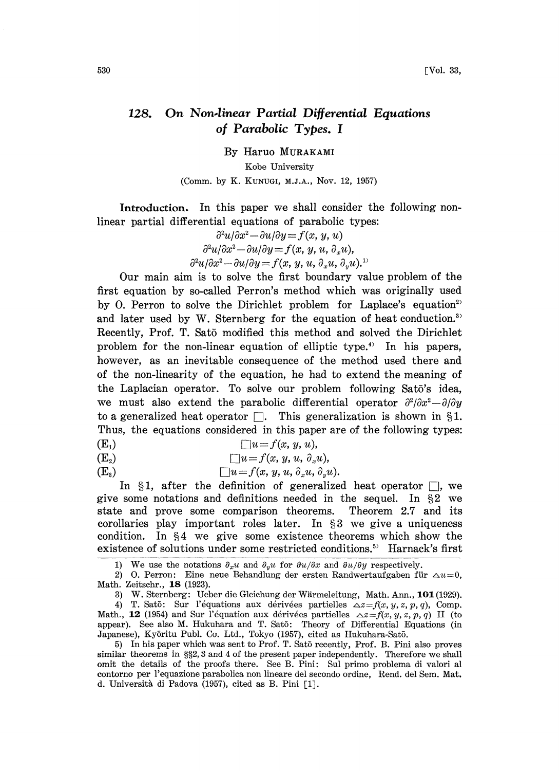## 128. On Non.linear Partial Differential Equations of Parabolic Types. I

By Haruo MURAKAMI Kobe University (Comm. by K. KUNUGI, M.J.A., Nov. 12, 1957)

Introduction. In this paper we shall consider the following nonlinear partial differential equations of parabolic types:

$$
\partial^2 u/\partial x^2 - \partial u/\partial y = f(x, y, u)
$$
  

$$
\partial^2 u/\partial x^2 - \partial u/\partial y = f(x, y, u, \partial_x u),
$$
  

$$
\partial^2 u/\partial x^2 - \partial u/\partial y = f(x, y, u, \partial_x u, \partial_y u).
$$
<sup>11</sup>

Our main aim is to solve the first boundary value problem of the first equation by so-called Perron's method which was originally used by O. Perron to solve the Dirichlet problem for Laplace's equation<sup>2)</sup> and later used by W. Sternberg for the equation of heat conduction. $s$ Recently, Prof. T. Sat5 modified this method and solved the Dirichlet problem for the non-linear equation of elliptic type.4) In his papers, however, as an inevitable consequence of the method used there and of the non-linearity of the equation, he had to extend the meaning of the Laplacian operator. To solve our problem following Sato's idea, we must also extend the parabolic differential operator  $\frac{\partial^2}{\partial x^2} - \frac{\partial}{\partial y}$ to a generalized heat operator  $\Box$ . This generalization is shown in §1. Thus, the equations considered in this paper are of the following types:

 $(E_1)$   $\Box u = f(x, y, u),$ 

(E<sub>2</sub>)  $\Box u = f(x, y, u, \partial_x u),$ 

 $(E_3)$   $\Box u = f(x, y, u, \partial_x u, \partial_y u).$ 

In  $\S1$ , after the definition of generalized heat operator  $\Box$ , we give some notations and definitions needed in the sequel. In  $\S 2$  we state and prove some comparison theorems. Theorem 2.7 and its corollaries play important roles later. In  $\S$ 3 we give a uniqueness condition. In  $\S4$  we give some existence theorems which show the existence of solutions under some restricted conditions.<sup>5)</sup> Harnack's first

1) We use the notations  $\partial_x u$  and  $\partial_y u$  for  $\partial u/\partial x$  and  $\partial u/\partial y$  respectively.

3) W. Sternberg: Ueber die Gleichung der Wirmeleitung, Math. Ann., 101 (1929).

5) In his paper which was sent to Prof. T. Sat5 recently, Prof. B. Pini also proves similar theorems in §§2, 3 and 4 of the present paper independently. Therefore we shall omit the details of the proofs there. See B. Pini: Sul primo problema di valori al contorno per l'equazione parabolica non lineare del secondo ordine, Rend. del Sem. Mat. d. Università di Padova (1957), cited as B. Pini [1].

<sup>2)</sup> O. Perron: Eine neue Behandlung der ersten Randwertaufgaben für  $\Delta u=0$ , Math. Zeitschr., 18 (1923).

<sup>4)</sup> T. Satō: Sur l'équations aux dérivées partielles  $\Delta z = f(x, y, z, p, q)$ , Comp. Math., 12 (1954) and Sur l'équation aux dérivées partielles  $\Delta z = f(x, y, z, p, q)$  II (to appear). See also M. Hukuhara and T. Satō: Theory of Differential Equations (in Japanese), Kyōritu Publ. Co. Ltd., Tokyo (1957), cited as Hukuhara-Satō.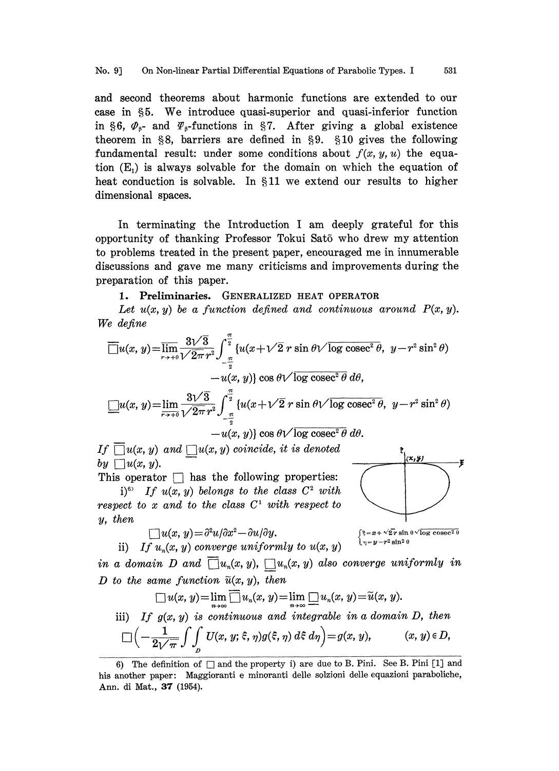and second theorems about harmonic functions are extended to our case in §5. We introduce quasi-superior and quasi-inferior function in §6,  $\Phi_{\beta}$ - and  $\Psi_{\beta}$ -functions in §7. After giving a global existence<br>theorem in §8, barriers are defined in §9. §10 gives the following<br>fundamental result: under some conditions about  $f(x, y, u)$  the equa-<br>tion (E theorem in  $\S 8$ , barriers are defined in  $\S 9$ .  $\S 10$  gives the following fundamental result: under some conditions about  $f(x, y, u)$  the equation  $(E_1)$  is always solvable for the domain on which the equation of heat conduction is solvable. In  $$11$  we extend our results to higher dimensional spaces.

In terminating the Introduction <sup>I</sup> am deeply grateful for this opportunity of thanking Professor Tokui Sat5 who drew my attention to problems treated in the present paper, encouraged me in innumerable discussions and gave me many criticisms and improvements during the preparation of this paper.

## 1. Preliminaries. GENERALIZED HEAT OPERATOR

Let  $u(x, y)$  be a function defined and continuous around  $P(x, y)$ . We define

$$
\overline{\Box}u(x, y) = \overline{\lim}_{r \to +0} \frac{3\sqrt{3}}{\sqrt{2\pi} r^2} \int_{-\frac{\pi}{2}}^{\frac{\pi}{2}} \{u(x + \sqrt{2} r \sin \theta \sqrt{\log \csc^2 \theta}, y - r^2 \sin^2 \theta) -u(x, y)\} \cos \theta \sqrt{\log \csc^2 \theta} d\theta,
$$
  

$$
\underline{\Box}u(x, y) = \underline{\lim}_{r \to +0} \frac{3\sqrt{3}}{\sqrt{2\pi} r^2} \int_{-\frac{\pi}{2}}^{\frac{\pi}{2}} \{u(x + \sqrt{2} r \sin \theta \sqrt{\log \csc^2 \theta}, y - r^2 \sin^2 \theta) -u(x, y)\} \cos \theta \sqrt{\log \csc^2 \theta} d\theta.
$$

If  $\Box u(x, y)$  and  $\Box u(x, y)$  coincide, it is denoted by  $\Box u(x, y)$ .

This operator  $\Box$  has the following properties: i)<sup>6)</sup> If  $u(x, y)$  belongs to the class  $C^2$  with respect to x and to the class  $C^1$  with respect to y, then

$$
\Box u(x, y) = \partial^2 u / \partial x^2 - \partial u / \partial y.
$$

$$
-\partial u/\partial y.\qquad \qquad \int \xi = x + \sqrt{2}.
$$



 $(x, y)$ 

ii) If  $u_n(x, y)$  converge uniformly to  $u(x, y)$ 

in a domain D and  $\Box u_n(x, y)$ ,  $\Box u_n(x, y)$  also converge uniformly in D to the same function  $\tilde{u}(x, y)$ , then

$$
\Box u(x, y) = \lim_{n \to \infty} \overline{\Box} u_n(x, y) = \lim_{n \to \infty} \underline{\Box} u_n(x, y) = \widetilde{u}(x, y).
$$

iii) If 
$$
g(x, y)
$$
 is continuous and integrable in a domain D, then  
\n
$$
\Box \left(-\frac{1}{2\sqrt{\pi}} \int \int_D U(x, y; \xi, \eta) g(\xi, \eta) d\xi d\eta\right) = g(x, y), \qquad (x, y) \in D,
$$

<sup>6)</sup> The definition of  $\Box$  and the property i) are due to B. Pini. See B. Pini [1] and his another paper: Maggioranti e minoranti delle solzioni delle equazioni paraboliche, Ann. di Mat., 37 (1954).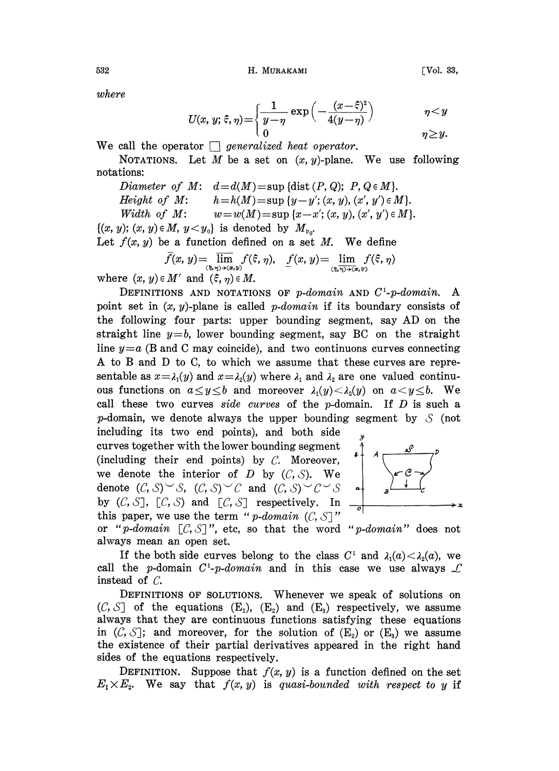where

$$
U(x, y; \xi, \eta) = \begin{cases} \frac{1}{y - \eta} \exp\left(-\frac{(x - \xi)^2}{4(y - \eta)}\right) & \eta < y \\ 0 & \eta \ge y. \end{cases}
$$

We call the operator  $\Box$  generalized heat operator.

NOTATIONS. Let M be a set on  $(x, y)$ -plane. We use following notations:

Diameter of M:  $d=d(M)=\sup \{\text{dist}(P,Q); P, Q \in M\}.$ Height of M:  $h=h(M)=\sup\{y-y'; (x, y), (x', y')\in M\}.$ Width of M:  $w = w(M) = \sup \{x-x'; (x, y), (x', y') \in M\}.$ 

 $\{(x, y); (x, y) \in M, y < y_0\}$  is denoted by  $M_{y_0}$ .

Let  $f(x, y)$  be a function defined on a set M. We define

$$
\overline{f}(x, y) = \overline{\lim}_{(\xi, \eta) \to (\alpha, y)} f(\xi, \eta), \quad \underline{f}(x, y) = \underline{\lim}_{(\xi, \eta) \to (\alpha, y)} f(\xi, \eta)
$$

where  $(x, y) \in M'$  and  $(\xi, \eta) \in M$ .

DEFINITIONS AND NOTATIONS OF  $p\text{-}domain$  and  $C^1\text{-}p\text{-}domain$ . A point set in  $(x, y)$ -plane is called *p*-domain if its boundary consists of the following four parts: upper bounding segment, say AD on the straight line  $y=b$ , lower bounding segment, say BC on the straight line  $y=a$  (B and C may coincide), and two continuons curves connecting A to B and D to C, to which we assume that these curves are representable as  $x = \lambda_1(y)$  and  $x = \lambda_2(y)$  where  $\lambda_1$  and  $\lambda_2$  are one valued continu-<br>ous functions on  $a \le y \le b$  and moreover  $\lambda_1(y) < \lambda_2(y)$  on  $a < y \le b$ . We ous functions on  $a \le y \le b$  and moreover  $\lambda_1(y) < \lambda_2(y)$  on  $a < y \le b$ . We call these two curves side curves of the  $p$ -domain. If  $D$  is such a p-domain, we denote always the upper bounding segment by  $\mathcal S$  (not

including its two end points), and both side curves together with the lower bounding segment (including their end points) by  $C$ . Moreover, we denote the interior of  $D$  by  $(C, S)$ . We denote  $(C, S) \subset S$ ,  $(C, S) \subset C$  and  $(C, S) \subset C \subset S$ by  $(C, S]$ ,  $[C, S]$  and  $[C, S]$  respectively. In this paper, we use the term "p-domain  $(C, S)$ "



this paper, we use the term "p-domain  $(C, S)$ "<br>or "p-domain  $[C, S]$ ", etc, so that the word<br>always mean an open set  $"p\text{-}domain"$  does not always mean an open set.

If the both side curves belong to the class  $C^1$  and  $\lambda_1(a) < \lambda_2(a)$ , we call the p-domain  $C^1$ -p-domain and in this case we use always  $\mathcal L$ instead of  $C$ .

DEFINITIONS OF SOLUTIONS. Whenever we speak of solutions on  $(C, S]$  of the equations  $(E_1)$ ,  $(E_2)$  and  $(E_3)$  respectively, we assume always that they are continuous functions satisfying these equations in  $(C, S)$ ; and moreover, for the solution of  $(E_2)$  or  $(E_3)$  we assume the existence of their partial derivatives appeared in the right hand sides of the equations respectively.

DEFINITION. Suppose that  $f(x, y)$  is a function defined on the set  $E_1 \times E_2$ . We say that  $f(x, y)$  is quasi-bounded with respect to y if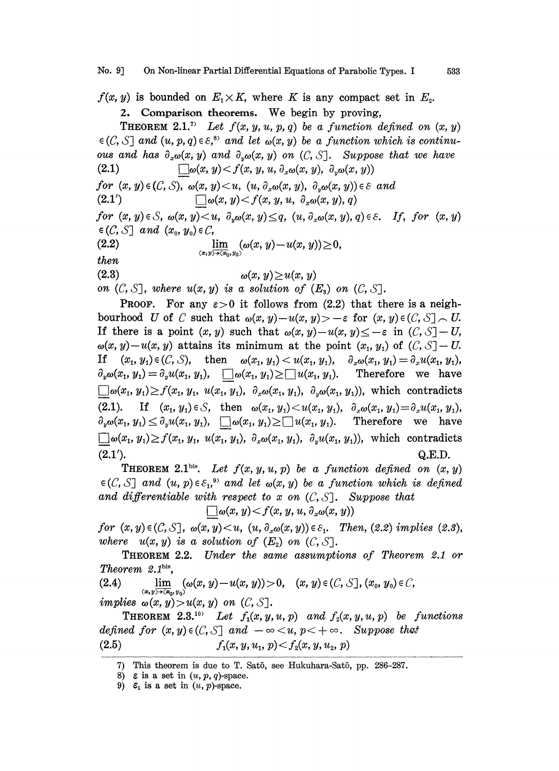$f(x, y)$  is bounded on  $E_1 \times K$ , where K is any compact set in  $E_2$ .

2. Comparison theorems. We begin by proving, **THEOREM 2.1.**<sup>7)</sup> Let  $f(x, y, u, p, q)$  be a function defined on  $(x, y)$  $\in$  (C, S] and  $(u, p, q) \in \varepsilon$ ,<sup>85</sup> and let  $\omega(x, y)$  be a function which is continuous and has  $\partial_x \omega(x, y)$  and  $\partial_y \omega(x, y)$  on  $(C, S]$ . Suppose that we have  $(2.1)$   $\Box \omega(x, y) < f(x, y, u, \partial_x \omega(x, y), \partial_x \omega(x, y))$  $\Box \omega(x, y) < f(x, y, u, \partial_x \omega(x, y), \partial_x \omega(x, y))$ for  $(x, y) \in (C, S)$ ,  $\omega(x, y) \leq u$ ,  $(u, \partial_x \omega(x, y), \partial_x \omega(x, y)) \in \mathcal{E}$  and  $\bigcap \omega(x, y) < f(x, y, u, \partial_x \omega(x, y), q)$  $(2.1')$ for  $(x, y) \in S$ ,  $\omega(x, y) \le u$ ,  $\partial_y \omega(x, y) \le q$ ,  $(u, \partial_x \omega(x, y), q) \in S$ . If, for  $(x, y)$  $\in$  (C, S] and  $(x_0, y_0) \in C$ , (2.2)  $\lim_{u \to 0} (\omega(x, y) - u(x, y)) \geq 0,$ then  $(x,y)\rightarrow(x_0,y_0)$  $(2.3)$  $\omega(x, y) \geq u(x, y)$ (z.s)  $\omega(x, y) \geq u(x, y)$ <br>on  $(C, S]$ , where  $u(x, y)$  is a solution of  $(E_s)$  on  $(C, S]$ . PROOF. For any  $\varepsilon > 0$  it follows from (2.2) that there is a neigh-

bourhood U of C such that  $\omega(x, y)-u(x, y) > -\varepsilon$  for  $(x, y) \in (C, S] \setminus U$ . If there is a point  $(x, y)$  such that  $\omega(x, y)-u(x, y) \leq -\varepsilon$  in  $(C, S]-U$ ,  $\omega(x, y)-u(x, y)$  attains its minimum at the point  $(x_1, y_1)$  of  $(C, S]-U$ . If  $(x_1, y_1) \in (C, S)$ , then  $\omega(x_1, y_1) < u(x_1, y_1)$ ,  $\partial_x \omega(x_1, y_1) = \partial_x u(x_1, y_1)$ ,  $\partial_y \omega(x_1, y_1) = \partial_y u(x_1, y_1), \quad \Box \omega(x_1, y_1) \ge \Box u(x_1, y_1).$  Therefore we have  $\bigcup \omega(x_1, y_1) \ge f(x_1, y_1, u(x_1, y_1), \partial_x \omega(x_1, y_1), \partial_y \omega(x_1, y_1)),$  which contradicts (2.1). If  $(x_1, y_1) \in S$ , then  $\omega(x_1, y_1) < u(x_1, y_1)$ ,  $\partial_x \omega(x_1, y_1) = \partial_x u(x_1, y_1)$ ,  $\partial_y \omega(x_1, y_1) \leq \partial_y u(x_1, y_1), \quad \Box \omega(x_1, y_1) \geq \Box u(x_1, y_1).$  Therefore we have  $\bigcup \omega(x_1, y_1) \ge f(x_1, y_1, u(x_1, y_1), \partial_x \omega(x_1, y_1), \partial_y u(x_1, y_1)),$  which contradicts  $Q.E.D.$ 

**THEOREM 2.1**bis. Let  $f(x, y, u, p)$  be a function defined on  $(x, y)$  $\in$  (C, S] and  $(u, p) \in \varepsilon_1$ ,<sup>3)</sup> and let  $\omega(x, y)$  be a function which is defined and differentiable with respect to x on  $(C, S)$ . Suppose that  $\Box \omega(x, y) < f(x, y, u, \partial_x \omega(x, y))$ 

for  $(x, y) \in (C, S]$ ,  $\omega(x, y) \leq u$ ,  $(u, \partial_x \omega(x, y)) \in \mathcal{E}_1$ . Then,  $(2.2)$  implies  $(2.3)$ , for  $(x, y) \in (C, S]$ ,  $\omega(x, y) \le u$ ,  $(u, \sigma_x \omega(x, y)) \in \varepsilon_1$ .<br>where  $u(x, y)$  is a solution of  $(E_2)$  on  $(C, S]$ .

THEOREM 2.2. Under the same assumptions of Theorem 2.1 or Theorem  $2.1<sup>bis</sup>$ .

(2.4)  $\lim_{(x,y)\to(x_0,y_0)} (\omega(x, y)-u(x, y))>0, \quad (x, y)\in (C, S], (x_0, y_0)\in C,$  $\lim p$ lies  $\omega(x, y) > u(x, y)$  on  $(C, S]$ .

**THEOREM** 2.3.<sup>107</sup> Let  $f_1(x, y, u, p)$  and  $f_2(x, y, u, p)$  be functions defined for  $(x, y) \in (C, S]$  and  $-\infty < u, p < +\infty$ . Suppose that (2.5)  $f_1(x, y, u_1, p) < f_2(x, y, u_2, p)$ 

<sup>7)</sup> This theorem is due to T. SatS, see Hukuhara-Sat5, pp. 286-287.

<sup>8)</sup>  $\varepsilon$  is a set in  $(u, p, q)$ -space.

<sup>9)</sup>  $\varepsilon_1$  is a set in  $(u, p)$ -space.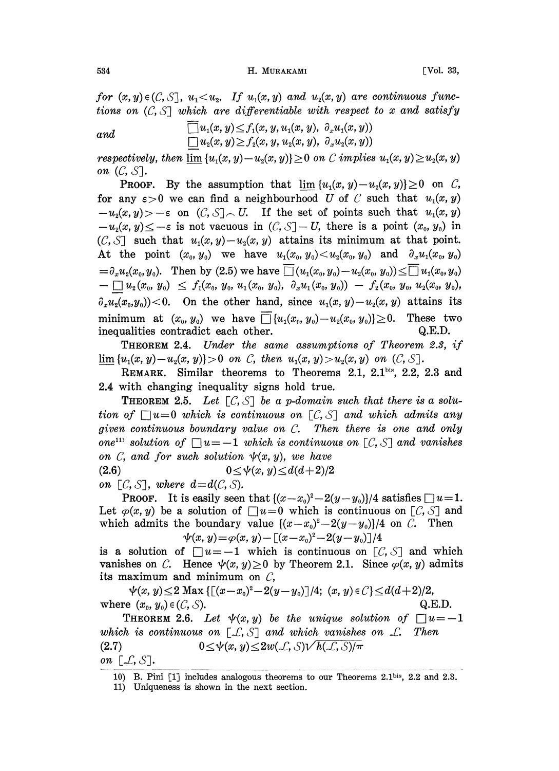534 **H. MURAKAMI** [Vol. 33,

for  $(x, y) \in (C, S]$ ,  $u_1 < u_2$ . If  $u_1(x, y)$  and  $u_2(x, y)$  are continuous functions on  $(C, S]$  which are differentiable with respect to x and satisfy

and 
$$
\Box u_1(x,y) \leq f_1(x,y, u_1(x,y), \partial_x u_1(x,y))
$$

$$
\Box u_2(x,y) \geq f_2(x,y, u_2(x,y), \partial_x u_2(x,y))
$$

respectively, then  $\lim \{u_1(x, y) - u_2(x, y)\} \geq 0$  on C implies  $u_1(x, y) \geq u_2(x, y)$ on  $(C, S]$ .

**PROOF.** By the assumption that  $\lim \{u_1(x, y) - u_2(x, y)\} \ge 0$  on C, for any  $\varepsilon > 0$  we can find a neighbourhood U of C such that  $u_1(x, y)$  $-u_2(x,y) > -\varepsilon$  on  $(C, S] \setminus U$ . If the set of points such that  $u_1(x, y)$  $-u_2(x, y) \leq -\varepsilon$  is not vacuous in  $(C, S]-U$ , there is a point  $(x_0, y_0)$  in  $(C, S]$  such that  $u_1(x, y) - u_2(x, y)$  attains its minimum at that point. At the point  $(x_0, y_0)$  we have  $u_1(x_0, y_0) < u_2(x_0, y_0)$  and  $\partial_x u_1(x_0, y_0)$  $= \partial_x u_2(x_0, y_0)$ . Then by (2.5) we have  $\overline{u_1}(u_1(x_0, y_0)-u_2(x_0, y_0)) \le \overline{u_1}(x_0, y_0)$  $u_1(x_0, y_0) \leq f_1(x_0, y_0, u_1(x_0, y_0), \partial_x u_1(x_0, y_0)) - f_2(x_0, y_0, u_2(x_0, y_0),$  $\partial_x u_2(x_0, y_0)$  < 0. On the other hand, since  $u_1(x, y) - u_2(x, y)$  attains its minimum at  $(x_0, y_0)$  we have  $\overline{\Box} \{u_1(x_0, y_0)-u_2(x_0, y_0)\}\geq 0$ . These two inequalities contradict each other. Q.E.D.

THEOREM 2.4. Under the same assumptions of Theorem 2.3, if THEOREM 2.4. Under the same assumptions of Theorem<br> $\lim_{x\to a}$   $\{u_1(x, y)-u_2(x, y)\} > 0$  on C, then  $u_1(x, y) > u_2(x, y)$  on  $(C, S]$ .

REMARK. Similar theorems to Theorems 2.1,  $2.1$ <sup>bis</sup>,  $2.2$ ,  $2.3$  and 2.4 with changing inequality signs hold true.

**THEOREM 2.5.** Let  $[C, S]$  be a p-domain such that there is a solution of  $\Box u=0$  which is continuous on  $\Box C$ ,  $\Diamond$  and which admits any given continuous boundary value on C. Then there is one and only one<sup>11</sup> solution of  $\Box u = -1$  which is continuous on  $[C, S]$  and vanishes on C, and for such solution  $\psi(x, y)$ , we have (2.6)  $0 \le \psi(x, y) \le d(d+2)/2$ 

on  $[C, S]$ , where  $d=d(C, S)$ .

**PROOF.** It is easily seen that  $\{(x-x_0)^2-2(y-y_0)\}/4$  satisfies  $\Box u=1$ . Let  $\varphi(x, y)$  be a solution of  $\Box u=0$  which is continuous on  $[\mathcal{C}, \mathcal{S}]$  and which admits the boundary value  $\{(x-x_0)^2-2(y-y_0)\}/4$  on C. Then  $\psi(x, y) = \varphi(x, y) - [(x-x_0)^2 - 2(y-y_0)]/4$ 

is a solution of  $\Box u = -1$  which is continuous on  $\Box C$ ,  $\Diamond$  and which vanishes on C. Hence  $\psi(x, y) \ge 0$  by Theorem 2.1. Since  $\varphi(x, y)$  admits its maximum and minimum on  $C$ ,

 $\psi(x, y) \leq 2 \text{ Max } \{[(x-x_0)^2-2(y-y_0)]/4; (x, y) \in \mathcal{C}\} \leq d(d+2)/2,$ where  $(x_0, y_0) \in (C, S)$ . Q.E.D.

**THEOREM 2.6.** Let  $\psi(x, y)$  be the unique solution of  $\Box u = -1$ <br>which is continuous on  $[\bot, \bot, \bot]$  and which vanishes on  $\bot$ . Then which is continuous on  $[\mathcal{L}, \mathcal{S}]$  and which vanishes on  $\mathcal{L}$ . Then  $(2.7)$   $0 \leq \psi(x, y) \leq 2w(\mathcal{L}, \mathcal{S})\sqrt{h(\mathcal{L}, \mathcal{S})/\pi}$ on  $[\mathcal{L}, \mathcal{S}].$ 

<sup>10)</sup> B. Pini [1] includes analogous theorems to our Theorems 2.1his, 2.2 and 2.3.

<sup>11)</sup> Uniqueness is shown in the next section.